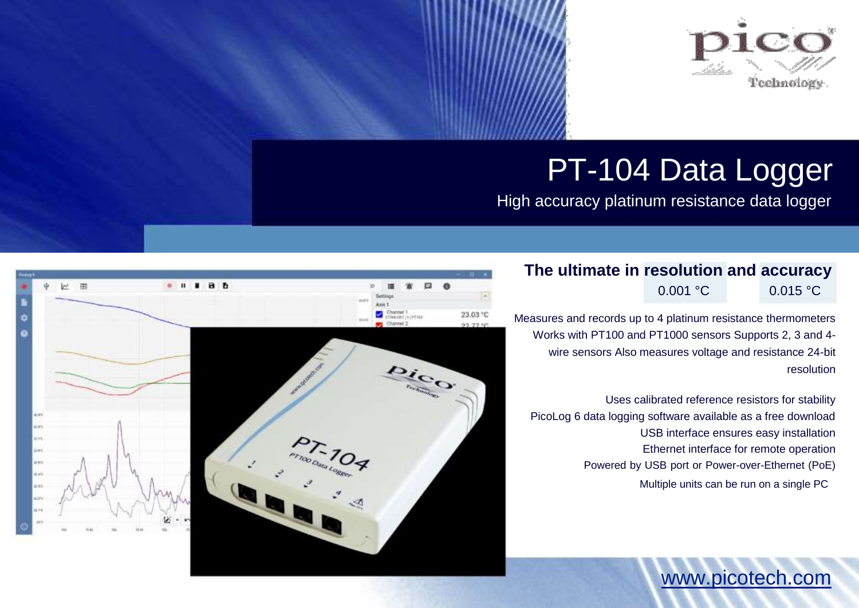

# PT-104 Data Logger

High accuracy platinum resistance data logger

# **The ultimate in resolution and accuracy** 0.001 °C 0.015 °C

Measures and records up to 4 platinum resistance thermometers Works with PT100 and PT1000 sensors Supports 2, 3 and 4 wire sensors Also measures voltage and resistance 24-bit resolution

Uses calibrated reference resistors for stability PicoLog 6 data logging software available as a free download USB interface ensures easy installation Ethernet interface for remote operation Powered by USB port or Power-over-Ethernet (PoE) Multiple units can be run on a single PC

www.picotech.com

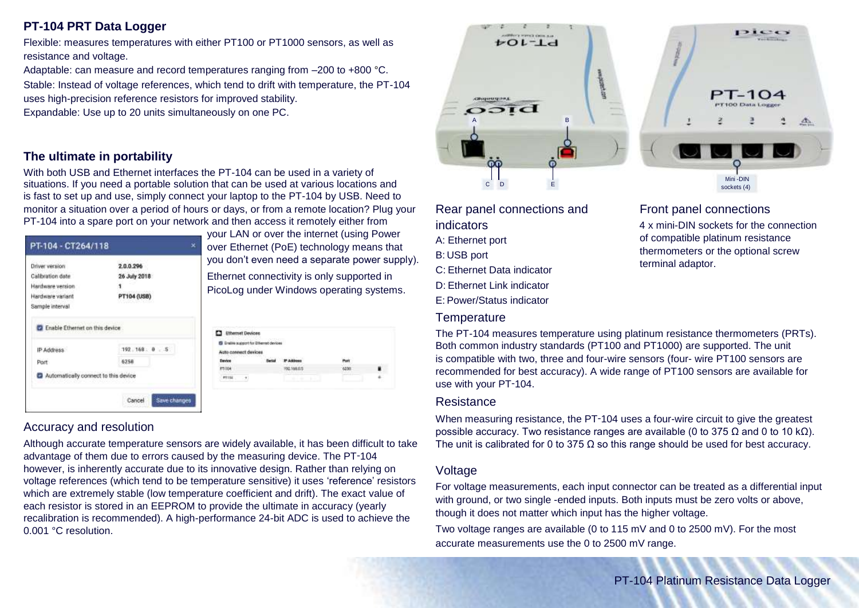### **PT-104 PRT Data Logger**

Flexible: measures temperatures with either PT100 or PT1000 sensors, as well as resistance and voltage.

Adaptable: can measure and record temperatures ranging from –200 to +800 °C. Stable: Instead of voltage references, which tend to drift with temperature, the PT-104 uses high-precision reference resistors for improved stability. Expandable: Use up to 20 units simultaneously on one PC.

#### **The ultimate in portability**

With both USB and Ethernet interfaces the PT-104 can be used in a variety of situations. If you need a portable solution that can be used at various locations and is fast to set up and use, simply connect your laptop to the PT-104 by USB. Need to monitor a situation over a period of hours or days, or from a remote location? Plug your PT-104 into a spare port on your network and then access it remotely either from

| Driver version   | 2.0.0.296    |  |
|------------------|--------------|--|
| Calibration date | 26 July 2018 |  |
| Hardware version |              |  |
| Hardware variant | PT104 (USB)  |  |
| IP Address       | 192.168: 0.5 |  |
|                  | 6258         |  |
| Port.            |              |  |

your LAN or over the internet (using Power over Ethernet (PoE) technology means that you don't even need a separate power supply). Ethernet connectivity is only supported in PicoLog under Windows operating systems.

| <sup>2</sup> Emilie support for Ethernet devices |             |    |
|--------------------------------------------------|-------------|----|
| Auto connect devices<br>.                        |             |    |
|                                                  |             |    |
| 1104                                             | 192.166.0.5 |    |
| <b>PTILL</b>                                     | Mark 1984   | ÷. |

#### Accuracy and resolution

Although accurate temperature sensors are widely available, it has been difficult to take advantage of them due to errors caused by the measuring device. The PT‑104 however, is inherently accurate due to its innovative design. Rather than relying on voltage references (which tend to be temperature sensitive) it uses 'reference' resistors which are extremely stable (low temperature coefficient and drift). The exact value of each resistor is stored in an EEPROM to provide the ultimate in accuracy (yearly recalibration is recommended). A high-performance 24-bit ADC is used to achieve the 0.001 °C resolution.





Rear panel connections and indicators A: Ethernet port B: USB port C: Ethernet Data indicator D: Ethernet Link indicator E: Power/Status indicator

#### **Temperature**

#### Front panel connections 4 x mini-DIN sockets for the connection of compatible platinum resistance thermometers or the optional screw terminal adaptor.

The PT-104 measures temperature using platinum resistance thermometers (PRTs). Both common industry standards (PT100 and PT1000) are supported. The unit is compatible with two, three and four-wire sensors (four- wire PT100 sensors are recommended for best accuracy). A wide range of PT100 sensors are available for use with your PT‑104.

#### **Resistance**

When measuring resistance, the PT-104 uses a four-wire circuit to give the greatest possible accuracy. Two resistance ranges are available (0 to 375  $Ω$  and 0 to 10 k $Ω$ ). The unit is calibrated for 0 to 375  $\Omega$  so this range should be used for best accuracy.

#### Voltage

For voltage measurements, each input connector can be treated as a differential input with ground, or two single -ended inputs. Both inputs must be zero volts or above, though it does not matter which input has the higher voltage.

Two voltage ranges are available (0 to 115 mV and 0 to 2500 mV). For the most accurate measurements use the 0 to 2500 mV range.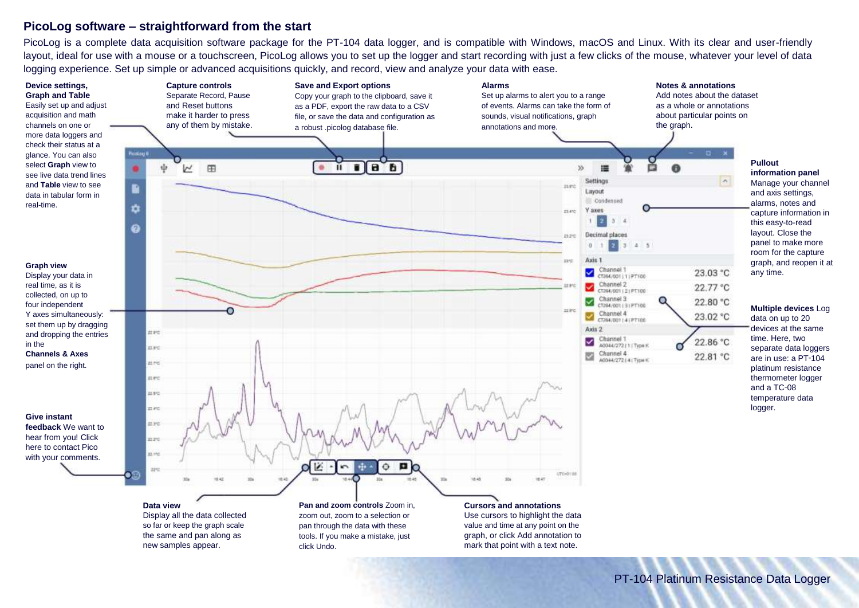#### **PicoLog software – straightforward from the start**

PicoLog is a complete data acquisition software package for the PT-104 data logger, and is compatible with Windows, macOS and Linux. With its clear and user-friendly layout, ideal for use with a mouse or a touchscreen, PicoLog allows you to set up the logger and start recording with just a few clicks of the mouse, whatever your level of data logging experience. Set up simple or advanced acquisitions quickly, and record, view and analyze your data with ease.



Display all the data collected so far or keep the graph scale the same and pan along as new samples appear.

**Pan and zoom controls Zoom in.** zoom out, zoom to a selection or pan through the data with these tools. If you make a mistake, just click Undo.

#### **Cursors and annotations**

Use cursors to highlight the data value and time at any point on the graph, or click Add annotation to mark that point with a text note.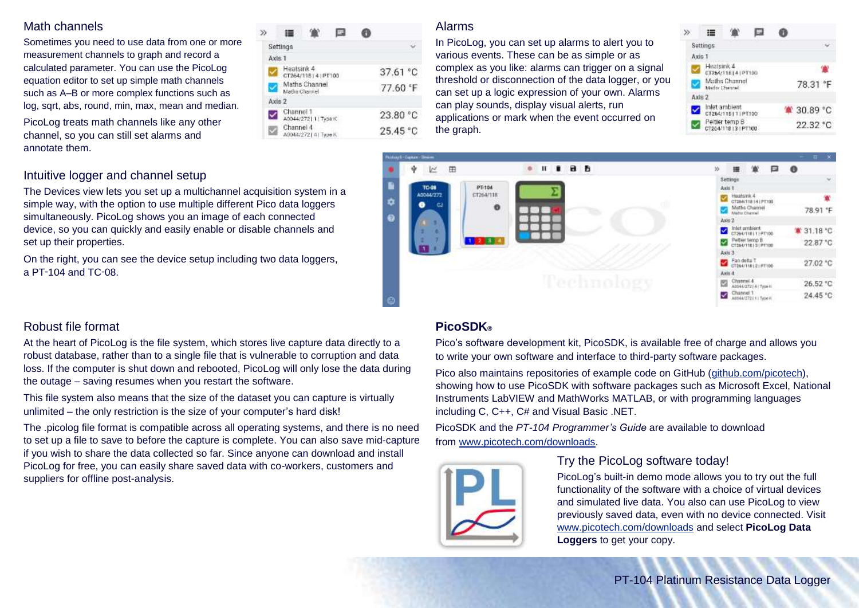#### Math channels

Sometimes you need to use data from one or more measurement channels to graph and record a calculated parameter. You can use the PicoLog equation editor to set up simple math channels such as A–B or more complex functions such as log, sqrt, abs, round, min, max, mean and median.

PicoLog treats math channels like any other channel, so you can still set alarms and annotate them.

| Settings   |                                    |  |  |          |
|------------|------------------------------------|--|--|----------|
| Axis 1     |                                    |  |  |          |
| Heatsink 4 | CT264/118141PT100                  |  |  | 37.61 °C |
|            | Maths Channel<br>Mathis Channel    |  |  | 77.60 °F |
| Axis 2     |                                    |  |  |          |
|            | Channel 1<br>40044/2721 1   Type K |  |  | 23.80 °C |
| Channel 4  | MONARCZY LO Linear K.              |  |  | 25.45 °C |

#### Alarms

In PicoLog, you can set up alarms to alert you to various events. These can be as simple or as complex as you like: alarms can trigger on a signal threshold or disconnection of the data logger, or you can set up a logic expression of your own. Alarms can play sounds, display visual alerts, run applications or mark when the event occurred on the graph.

| <b>Settings</b>       |                                     |  |          |
|-----------------------|-------------------------------------|--|----------|
| Axis 1                |                                     |  |          |
| Heatsink <sub>4</sub> | CT264/11814 (PT100                  |  |          |
| Mathy Channel         | Maths Channel                       |  | 78.31 °F |
| Axis 2                |                                     |  |          |
|                       | Inlet ambient<br>CT264/118111PT100  |  | 30.89 °C |
|                       | Peitler temp B<br>CT204/118131PT100 |  | 22.32 °C |
|                       |                                     |  |          |



#### Intuitive logger and channel setup

The Devices view lets you set up a multichannel acquisition system in a simple way, with the option to use multiple different Pico data loggers simultaneously. PicoLog shows you an image of each connected device, so you can quickly and easily enable or disable channels and set up their properties.

On the right, you can see the device setup including two data loggers, a  $PT-104$  and  $TC-08$ .

### Robust file format

At the heart of PicoLog is the file system, which stores live capture data directly to a robust database, rather than to a single file that is vulnerable to corruption and data loss. If the computer is shut down and rebooted, PicoLog will only lose the data during the outage – saving resumes when you restart the software.

This file system also means that the size of the dataset you can capture is virtually unlimited – the only restriction is the size of your computer's hard disk!

The .picolog file format is compatible across all operating systems, and there is no need to set up a file to save to before the capture is complete. You can also save mid-capture if you wish to share the data collected so far. Since anyone can download and install PicoLog for free, you can easily share saved data with co-workers, customers and suppliers for offline post-analysis.

## **PicoSDK®**

Pico's software development kit, PicoSDK, is available free of charge and allows you to write your own software and interface to third-party software packages.

Pico also maintains repositories of example code on GitHub (github.com/picotech), showing how to use PicoSDK with software packages such as Microsoft Excel, National Instruments LabVIEW and MathWorks MATLAB, or with programming languages including C, C++, C# and Visual Basic .NET.

PicoSDK and the *PT-104 Programmer's Guide* are available to download from www.picotech.com/downloads.



#### Try the PicoLog software today!

PicoLog's built-in demo mode allows you to try out the full functionality of the software with a choice of virtual devices and simulated live data. You also can use PicoLog to view previously saved data, even with no device connected. Visit www.picotech.com/downloads and select **PicoLog Data Loggers** to get your copy.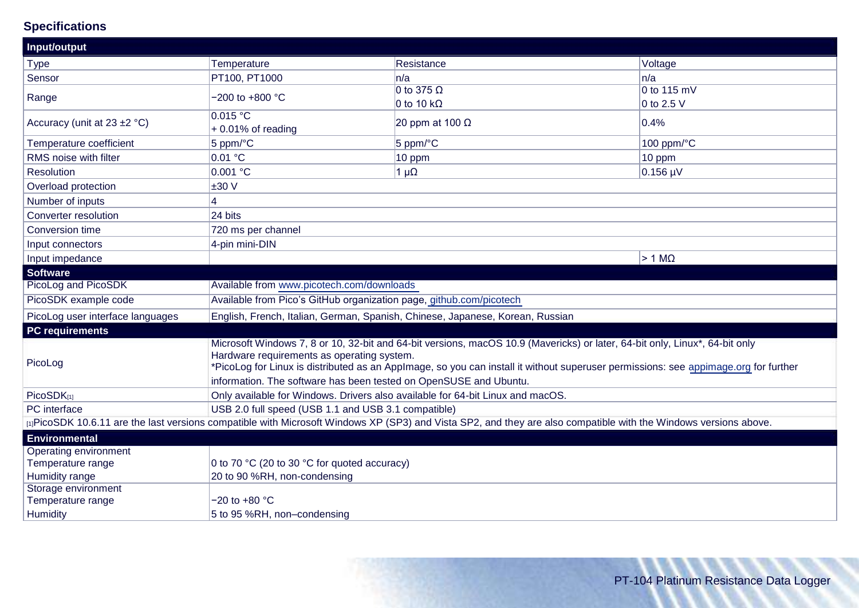# **Specifications**

| Input/output                     |                                                                                                                                                                                                                                                                                                                                                                                       |                                                                                                                                                                   |                           |  |
|----------------------------------|---------------------------------------------------------------------------------------------------------------------------------------------------------------------------------------------------------------------------------------------------------------------------------------------------------------------------------------------------------------------------------------|-------------------------------------------------------------------------------------------------------------------------------------------------------------------|---------------------------|--|
| <b>Type</b>                      | Temperature                                                                                                                                                                                                                                                                                                                                                                           | Resistance                                                                                                                                                        | Voltage                   |  |
| Sensor                           | PT100, PT1000                                                                                                                                                                                                                                                                                                                                                                         | ln/a                                                                                                                                                              | n/a                       |  |
| Range                            | $-200$ to $+800$ °C                                                                                                                                                                                                                                                                                                                                                                   | 0 to 375 $\Omega$<br>0 to 10 k $\Omega$                                                                                                                           | 0 to 115 mV<br>0 to 2.5 V |  |
| Accuracy (unit at $23 \pm 2$ °C) | 0.015 °C<br>+0.01% of reading                                                                                                                                                                                                                                                                                                                                                         | 20 ppm at 100 $\Omega$                                                                                                                                            | 0.4%                      |  |
| Temperature coefficient          | 5 ppm/°C                                                                                                                                                                                                                                                                                                                                                                              | 5 ppm/ $\degree$ C                                                                                                                                                | 100 ppm/°C                |  |
| RMS noise with filter            | 0.01 °C                                                                                                                                                                                                                                                                                                                                                                               | 10 ppm                                                                                                                                                            | 10 ppm                    |  |
| Resolution                       | 0.001 °C                                                                                                                                                                                                                                                                                                                                                                              | $1 \mu\Omega$                                                                                                                                                     | $0.156 \mu V$             |  |
| Overload protection              | ±30 V                                                                                                                                                                                                                                                                                                                                                                                 |                                                                                                                                                                   |                           |  |
| Number of inputs                 | 4                                                                                                                                                                                                                                                                                                                                                                                     |                                                                                                                                                                   |                           |  |
| Converter resolution             | 24 bits                                                                                                                                                                                                                                                                                                                                                                               |                                                                                                                                                                   |                           |  |
| Conversion time                  | 720 ms per channel                                                                                                                                                                                                                                                                                                                                                                    |                                                                                                                                                                   |                           |  |
| Input connectors                 | 4-pin mini-DIN                                                                                                                                                                                                                                                                                                                                                                        |                                                                                                                                                                   |                           |  |
| Input impedance                  |                                                                                                                                                                                                                                                                                                                                                                                       |                                                                                                                                                                   | $>1$ M $\Omega$           |  |
| <b>Software</b>                  |                                                                                                                                                                                                                                                                                                                                                                                       |                                                                                                                                                                   |                           |  |
| PicoLog and PicoSDK              | Available from www.picotech.com/downloads                                                                                                                                                                                                                                                                                                                                             |                                                                                                                                                                   |                           |  |
| PicoSDK example code             | Available from Pico's GitHub organization page, github.com/picotech                                                                                                                                                                                                                                                                                                                   |                                                                                                                                                                   |                           |  |
| PicoLog user interface languages | English, French, Italian, German, Spanish, Chinese, Japanese, Korean, Russian                                                                                                                                                                                                                                                                                                         |                                                                                                                                                                   |                           |  |
| <b>PC</b> requirements           |                                                                                                                                                                                                                                                                                                                                                                                       |                                                                                                                                                                   |                           |  |
| PicoLog                          | Microsoft Windows 7, 8 or 10, 32-bit and 64-bit versions, macOS 10.9 (Mavericks) or later, 64-bit only, Linux*, 64-bit only<br>Hardware requirements as operating system.<br>*PicoLog for Linux is distributed as an AppImage, so you can install it without superuser permissions: see appimage.org for further<br>information. The software has been tested on OpenSUSE and Ubuntu. |                                                                                                                                                                   |                           |  |
| PicoSDK[1]                       | Only available for Windows. Drivers also available for 64-bit Linux and macOS.                                                                                                                                                                                                                                                                                                        |                                                                                                                                                                   |                           |  |
| PC interface                     | USB 2.0 full speed (USB 1.1 and USB 3.1 compatible)                                                                                                                                                                                                                                                                                                                                   |                                                                                                                                                                   |                           |  |
|                                  |                                                                                                                                                                                                                                                                                                                                                                                       | [1] PicoSDK 10.6.11 are the last versions compatible with Microsoft Windows XP (SP3) and Vista SP2, and they are also compatible with the Windows versions above. |                           |  |
| Environmental                    |                                                                                                                                                                                                                                                                                                                                                                                       |                                                                                                                                                                   |                           |  |
| Operating environment            |                                                                                                                                                                                                                                                                                                                                                                                       |                                                                                                                                                                   |                           |  |
| Temperature range                | 0 to 70 °C (20 to 30 °C for quoted accuracy)                                                                                                                                                                                                                                                                                                                                          |                                                                                                                                                                   |                           |  |
| Humidity range                   | 20 to 90 %RH, non-condensing                                                                                                                                                                                                                                                                                                                                                          |                                                                                                                                                                   |                           |  |
| Storage environment              |                                                                                                                                                                                                                                                                                                                                                                                       |                                                                                                                                                                   |                           |  |
| Temperature range                | $-20$ to $+80$ °C                                                                                                                                                                                                                                                                                                                                                                     |                                                                                                                                                                   |                           |  |
| Humidity                         | 5 to 95 %RH, non-condensing                                                                                                                                                                                                                                                                                                                                                           |                                                                                                                                                                   |                           |  |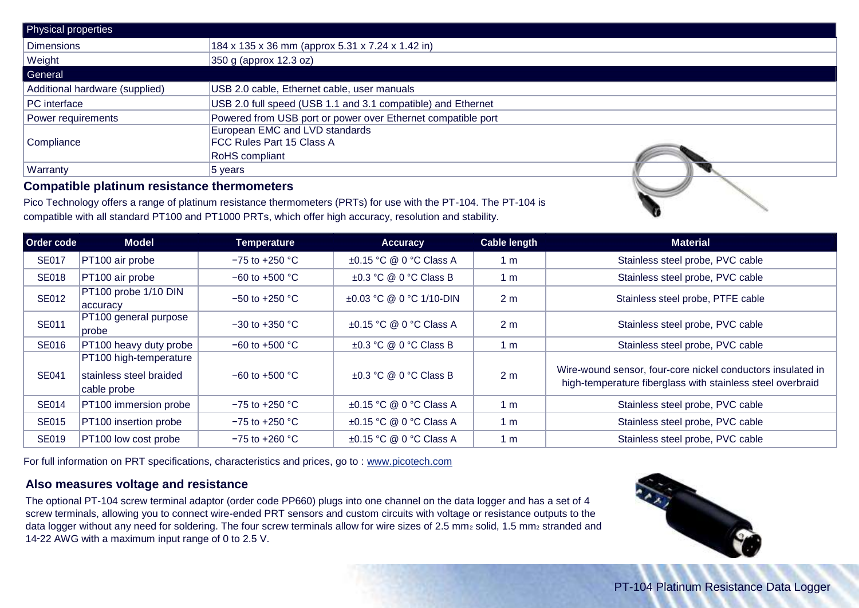| Physical properties                                                                                                                                                                                                                |                                                              |  |  |  |
|------------------------------------------------------------------------------------------------------------------------------------------------------------------------------------------------------------------------------------|--------------------------------------------------------------|--|--|--|
| <b>Dimensions</b>                                                                                                                                                                                                                  | 184 x 135 x 36 mm (approx 5.31 x 7.24 x 1.42 in)             |  |  |  |
| Weight                                                                                                                                                                                                                             | 350 g (approx 12.3 oz)                                       |  |  |  |
| General                                                                                                                                                                                                                            |                                                              |  |  |  |
| Additional hardware (supplied)                                                                                                                                                                                                     | USB 2.0 cable, Ethernet cable, user manuals                  |  |  |  |
| PC interface                                                                                                                                                                                                                       | USB 2.0 full speed (USB 1.1 and 3.1 compatible) and Ethernet |  |  |  |
| Power requirements                                                                                                                                                                                                                 | Powered from USB port or power over Ethernet compatible port |  |  |  |
|                                                                                                                                                                                                                                    | European EMC and LVD standards                               |  |  |  |
| Compliance                                                                                                                                                                                                                         | <b>FCC Rules Part 15 Class A</b>                             |  |  |  |
|                                                                                                                                                                                                                                    | <b>RoHS</b> compliant                                        |  |  |  |
| <b>Warranty</b>                                                                                                                                                                                                                    | $ 5 \rangle$ years                                           |  |  |  |
| $\bullet$ and the set of the set of the set of the set of the set of the set of the set of the set of the set of the set of the set of the set of the set of the set of the set of the set of the set of the set of the set of the |                                                              |  |  |  |

#### **Compatible platinum resistance thermometers**

Pico Technology offers a range of platinum resistance thermometers (PRTs) for use with the PT-104. The PT-104 is compatible with all standard PT100 and PT1000 PRTs, which offer high accuracy, resolution and stability.

| Order code   | <b>Model</b>                                                     | <b>Temperature</b> | <b>Accuracy</b>              | <b>Cable length</b> | <b>Material</b>                                                                                                           |
|--------------|------------------------------------------------------------------|--------------------|------------------------------|---------------------|---------------------------------------------------------------------------------------------------------------------------|
| <b>SE017</b> | PT100 air probe                                                  | $-75$ to $+250$ °C | ±0.15 °C @ 0 °C Class A      | 1 <sub>m</sub>      | Stainless steel probe, PVC cable                                                                                          |
| <b>SE018</b> | PT100 air probe                                                  | $-60$ to $+500$ °C | $\pm 0.3$ °C @ 0 °C Class B  | 1 <sub>m</sub>      | Stainless steel probe, PVC cable                                                                                          |
| <b>SE012</b> | PT100 probe 1/10 DIN<br>accuracy                                 | $-50$ to $+250$ °C | ±0.03 °C @ 0 °C 1/10-DIN     | 2 <sub>m</sub>      | Stainless steel probe, PTFE cable                                                                                         |
| <b>SE011</b> | PT100 general purpose<br> probe                                  | $-30$ to $+350$ °C | $\pm 0.15$ °C @ 0 °C Class A | 2 <sub>m</sub>      | Stainless steel probe, PVC cable                                                                                          |
| <b>SE016</b> | PT100 heavy duty probe                                           | $-60$ to $+500$ °C | $\pm 0.3$ °C @ 0 °C Class B  | 1 <sub>m</sub>      | Stainless steel probe, PVC cable                                                                                          |
| <b>SE041</b> | PT100 high-temperature<br>stainless steel braided<br>cable probe | $-60$ to $+500$ °C | $\pm 0.3$ °C @ 0 °C Class B  | 2 <sub>m</sub>      | Wire-wound sensor, four-core nickel conductors insulated in<br>high-temperature fiberglass with stainless steel overbraid |
| <b>SE014</b> | PT100 immersion probe                                            | $-75$ to $+250$ °C | ±0.15 °C @ 0 °C Class A      | 1 <sub>m</sub>      | Stainless steel probe, PVC cable                                                                                          |
| <b>SE015</b> | PT100 insertion probe                                            | $-75$ to $+250$ °C | ±0.15 °C @ 0 °C Class A      | 1 <sub>m</sub>      | Stainless steel probe, PVC cable                                                                                          |
| <b>SE019</b> | PT100 low cost probe                                             | $-75$ to $+260$ °C | ±0.15 °C @ 0 °C Class A      | 1 <sub>m</sub>      | Stainless steel probe, PVC cable                                                                                          |

For full information on PRT specifications, characteristics and prices, go to : www.picotech.com

#### **Also measures voltage and resistance**

The optional PT-104 screw terminal adaptor (order code PP660) plugs into one channel on the data logger and has a set of 4 screw terminals, allowing you to connect wire-ended PRT sensors and custom circuits with voltage or resistance outputs to the data logger without any need for soldering. The four screw terminals allow for wire sizes of 2.5 mm<sub>2</sub> solid, 1.5 mm<sub>2</sub> stranded and 14‑22 AWG with a maximum input range of 0 to 2.5 V.